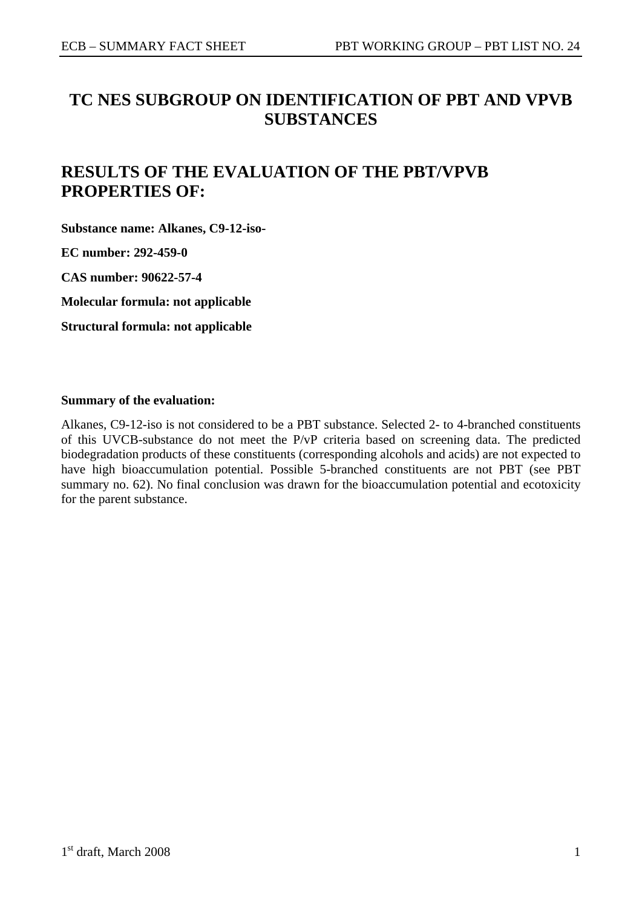# **TC NES SUBGROUP ON IDENTIFICATION OF PBT AND VPVB SUBSTANCES**

# **RESULTS OF THE EVALUATION OF THE PBT/VPVB PROPERTIES OF:**

**Substance name: Alkanes, C9-12-iso-**

**EC number: 292-459-0** 

**CAS number: 90622-57-4** 

**Molecular formula: not applicable** 

**Structural formula: not applicable** 

#### **Summary of the evaluation:**

Alkanes, C9-12-iso is not considered to be a PBT substance. Selected 2- to 4-branched constituents of this UVCB-substance do not meet the P/vP criteria based on screening data. The predicted biodegradation products of these constituents (corresponding alcohols and acids) are not expected to have high bioaccumulation potential. Possible 5-branched constituents are not PBT (see PBT summary no. 62). No final conclusion was drawn for the bioaccumulation potential and ecotoxicity for the parent substance.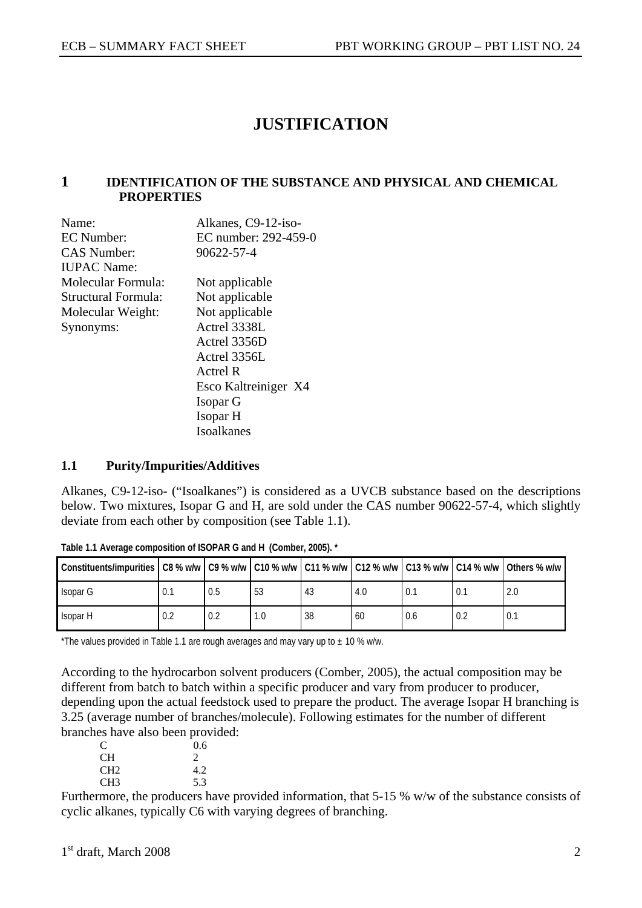# **JUSTIFICATION**

#### **1 IDENTIFICATION OF THE SUBSTANCE AND PHYSICAL AND CHEMICAL PROPERTIES**

| Name:               | Alkanes, C9-12-iso-  |
|---------------------|----------------------|
| EC Number:          | EC number: 292-459-0 |
| <b>CAS Number:</b>  | 90622-57-4           |
| <b>IUPAC</b> Name:  |                      |
| Molecular Formula:  | Not applicable       |
| Structural Formula: | Not applicable       |
| Molecular Weight:   | Not applicable       |
| Synonyms:           | Actrel 3338L         |
|                     | Actrel 3356D         |
|                     | Actrel 3356L         |
|                     | Actrel R             |
|                     | Esco Kaltreiniger X4 |
|                     | Isopar G             |
|                     | Isopar H             |
|                     | Isoalkanes           |

#### **1.1 Purity/Impurities/Additives**

Alkanes, C9-12-iso- ("Isoalkanes") is considered as a UVCB substance based on the descriptions below. Two mixtures, Isopar G and H, are sold under the CAS number 90622-57-4, which slightly deviate from each other by composition (see Table 1.1).

| Constituents/impurities C8 % w/w   C9 % w/w   C10 % w/w   C11 % w/w   C12 % w/w   C13 % w/w   C14 % w/w   Others % w/w |     |     |     |    |     |     |     |
|------------------------------------------------------------------------------------------------------------------------|-----|-----|-----|----|-----|-----|-----|
| Isopar G                                                                                                               | 0.1 | 0.5 | 53  | 43 | 4.0 | 0.1 | 2.0 |
| Isopar H                                                                                                               | 0.2 | 0.2 | 1.0 | 38 | 60  | 0.6 |     |

**Table 1.1 Average composition of ISOPAR G and H (Comber, 2005). \*** 

\*The values provided in Table 1.1 are rough averages and may vary up to  $\pm$  10 % w/w.

According to the hydrocarbon solvent producers (Comber, 2005), the actual composition may be different from batch to batch within a specific producer and vary from producer to producer, depending upon the actual feedstock used to prepare the product. The average Isopar H branching is 3.25 (average number of branches/molecule). Following estimates for the number of different branches have also been provided:

| C               | 0.6           |
|-----------------|---------------|
| CH.             | $\mathcal{L}$ |
| CH <sub>2</sub> | 4.2           |
| CH <sub>3</sub> | 5.3           |

Furthermore, the producers have provided information, that 5-15 % w/w of the substance consists of cyclic alkanes, typically C6 with varying degrees of branching.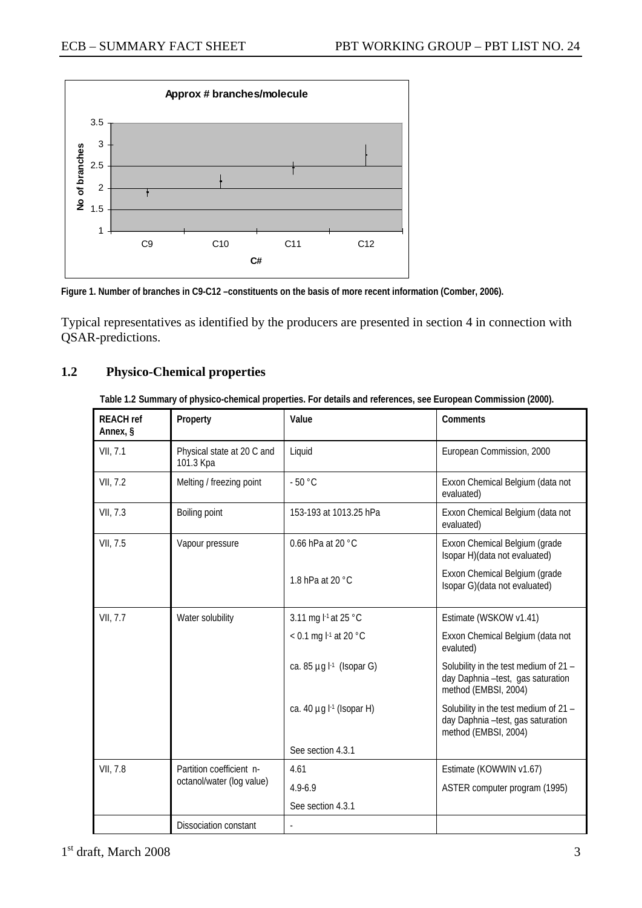



Typical representatives as identified by the producers are presented in section 4 in connection with QSAR-predictions.

### **1.2 Physico-Chemical properties**

**Table 1.2 Summary of physico-chemical properties. For details and references, see European Commission (2000).** 

| <b>REACH ref</b><br>Annex, § | Property                                | Value                                     | Comments                                                                                           |
|------------------------------|-----------------------------------------|-------------------------------------------|----------------------------------------------------------------------------------------------------|
| VII, 7.1                     | Physical state at 20 C and<br>101.3 Kpa | Liquid                                    | European Commission, 2000                                                                          |
| VII, 7.2                     | Melting / freezing point                | $-50 °C$                                  | Exxon Chemical Belgium (data not<br>evaluated)                                                     |
| VII, 7.3                     | Boiling point                           | 153-193 at 1013.25 hPa                    | Exxon Chemical Belgium (data not<br>evaluated)                                                     |
| VII, 7.5                     | Vapour pressure                         | 0.66 hPa at 20 °C                         | Exxon Chemical Belgium (grade<br>Isopar H)(data not evaluated)                                     |
|                              |                                         | 1.8 hPa at 20 °C                          | Exxon Chemical Belgium (grade<br>Isopar G)(data not evaluated)                                     |
| VII, 7.7                     | Water solubility                        | 3.11 mg l <sup>-1</sup> at 25 °C          | Estimate (WSKOW v1.41)                                                                             |
|                              |                                         | < 0.1 mg $l$ <sup>-1</sup> at 20 °C       | Exxon Chemical Belgium (data not<br>evaluted)                                                      |
|                              |                                         | ca. 85 $\mu$ g l <sup>-1</sup> (Isopar G) | Solubility in the test medium of 21 -<br>day Daphnia -test, gas saturation<br>method (EMBSI, 2004) |
|                              |                                         | ca. 40 $\mu$ g $\vdash$ 1 (Isopar H)      | Solubility in the test medium of 21 -<br>day Daphnia -test, gas saturation<br>method (EMBSI, 2004) |
|                              |                                         | See section 4.3.1                         |                                                                                                    |
| VII, 7.8                     | Partition coefficient n-                | 4.61                                      | Estimate (KOWWIN v1.67)                                                                            |
|                              | octanol/water (log value)               | $4.9 - 6.9$                               | ASTER computer program (1995)                                                                      |
|                              |                                         | See section 4.3.1                         |                                                                                                    |
|                              | <b>Dissociation constant</b>            |                                           |                                                                                                    |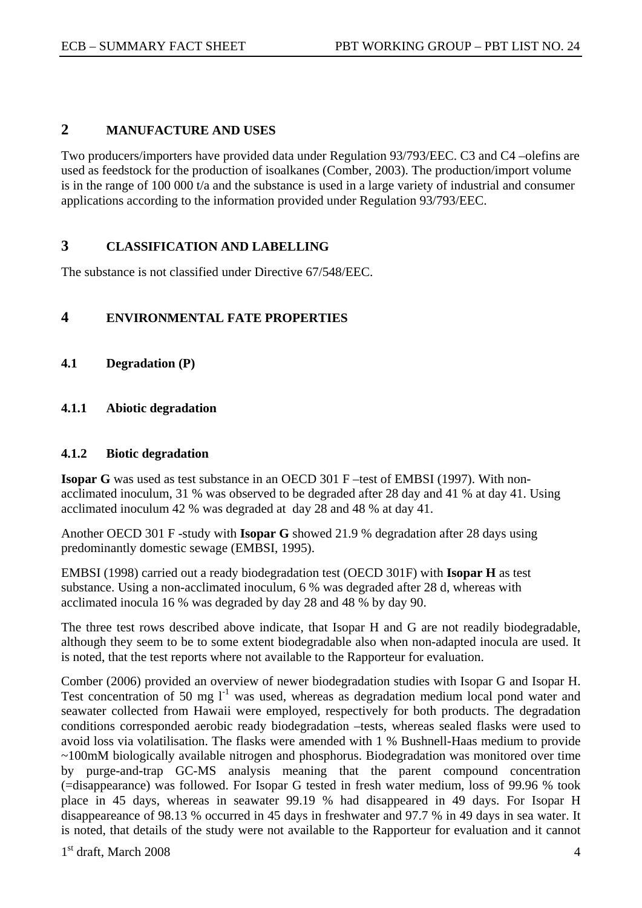# **2 MANUFACTURE AND USES**

Two producers/importers have provided data under Regulation 93/793/EEC. C3 and C4 –olefins are used as feedstock for the production of isoalkanes (Comber, 2003). The production/import volume is in the range of 100 000 t/a and the substance is used in a large variety of industrial and consumer applications according to the information provided under Regulation 93/793/EEC.

# **3 CLASSIFICATION AND LABELLING**

The substance is not classified under Directive 67/548/EEC.

## **4 ENVIRONMENTAL FATE PROPERTIES**

**4.1 Degradation (P)** 

## **4.1.1 Abiotic degradation**

#### **4.1.2 Biotic degradation**

**Isopar G** was used as test substance in an OECD 301 F –test of EMBSI (1997). With nonacclimated inoculum, 31 % was observed to be degraded after 28 day and 41 % at day 41. Using acclimated inoculum 42 % was degraded at day 28 and 48 % at day 41.

Another OECD 301 F -study with **Isopar G** showed 21.9 % degradation after 28 days using predominantly domestic sewage (EMBSI, 1995).

EMBSI (1998) carried out a ready biodegradation test (OECD 301F) with **Isopar H** as test substance. Using a non-acclimated inoculum, 6 % was degraded after 28 d, whereas with acclimated inocula 16 % was degraded by day 28 and 48 % by day 90.

The three test rows described above indicate, that Isopar H and G are not readily biodegradable, although they seem to be to some extent biodegradable also when non-adapted inocula are used. It is noted, that the test reports where not available to the Rapporteur for evaluation.

Comber (2006) provided an overview of newer biodegradation studies with Isopar G and Isopar H. Test concentration of 50 mg  $1^{-1}$  was used, whereas as degradation medium local pond water and seawater collected from Hawaii were employed, respectively for both products. The degradation conditions corresponded aerobic ready biodegradation –tests, whereas sealed flasks were used to avoid loss via volatilisation. The flasks were amended with 1 % Bushnell-Haas medium to provide ~100mM biologically available nitrogen and phosphorus. Biodegradation was monitored over time by purge-and-trap GC-MS analysis meaning that the parent compound concentration (=disappearance) was followed. For Isopar G tested in fresh water medium, loss of 99.96 % took place in 45 days, whereas in seawater 99.19 % had disappeared in 49 days. For Isopar H disappeareance of 98.13 % occurred in 45 days in freshwater and 97.7 % in 49 days in sea water. It is noted, that details of the study were not available to the Rapporteur for evaluation and it cannot

 $1<sup>st</sup>$  draft, March 2008  $4<sup>st</sup>$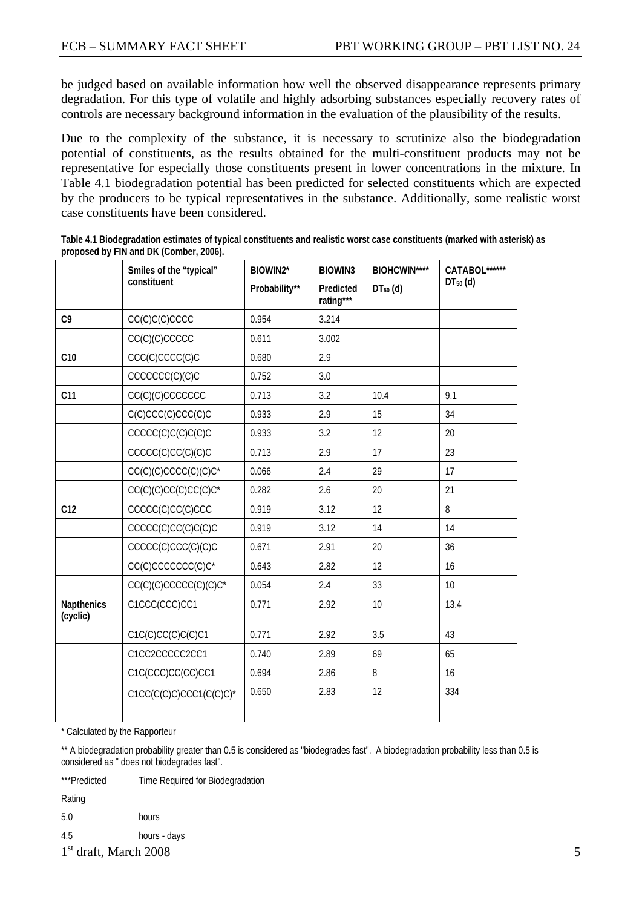be judged based on available information how well the observed disappearance represents primary degradation. For this type of volatile and highly adsorbing substances especially recovery rates of controls are necessary background information in the evaluation of the plausibility of the results.

Due to the complexity of the substance, it is necessary to scrutinize also the biodegradation potential of constituents, as the results obtained for the multi-constituent products may not be representative for especially those constituents present in lower concentrations in the mixture. In Table 4.1 biodegradation potential has been predicted for selected constituents which are expected by the producers to be typical representatives in the substance. Additionally, some realistic worst case constituents have been considered.

|                               | Smiles of the "typical"          | BIOWIN2*      | <b>BIOWIN3</b>         | <b>BIOHCWIN****</b> | CATABOL****** |
|-------------------------------|----------------------------------|---------------|------------------------|---------------------|---------------|
|                               | constituent                      | Probability** | Predicted<br>rating*** | $DT50$ (d)          | $DT50$ (d)    |
| C9                            | CC(C)C(C)CCCC                    | 0.954         | 3.214                  |                     |               |
|                               | CC(C)(C)CCCCC                    | 0.611         | 3.002                  |                     |               |
| C10                           | CCC(C)CCCC(C)C                   | 0.680         | 2.9                    |                     |               |
|                               | CCCCCC(C)(C)C                    | 0.752         | 3.0                    |                     |               |
| C11                           | CC(C)(C)CCCCCCC                  | 0.713         | 3.2                    | 10.4                | 9.1           |
|                               | C(C)CCC(C)CCC(C)C                | 0.933         | 2.9                    | 15                  | 34            |
|                               | CCCCC(C)C(C)C(C)C                | 0.933         | 3.2                    | 12                  | 20            |
|                               | CCCCC(C)CC(C)(C)C                | 0.713         | 2.9                    | 17                  | 23            |
|                               | CC(C)(C)CCCC(C)(C)C*             | 0.066         | 2.4                    | 29                  | 17            |
|                               | CC(C)(C)CC(C)CC(C)C <sup>*</sup> | 0.282         | 2.6                    | 20                  | 21            |
| C12                           | CCCCC(C)CC(C)CCC                 | 0.919         | 3.12                   | 12                  | 8             |
|                               | CCCCC(C)CC(C)C(C)C               | 0.919         | 3.12                   | 14                  | 14            |
|                               | CCCCC(C)CCC(C)(C)C               | 0.671         | 2.91                   | 20                  | 36            |
|                               | CC(C)CCCCCCC(C)C*                | 0.643         | 2.82                   | 12                  | 16            |
|                               | CC(C)(C)CCCCC(C)(C)C*            | 0.054         | 2.4                    | 33                  | 10            |
| <b>Napthenics</b><br>(cyclic) | C1CCC(CCC)CC1                    | 0.771         | 2.92                   | 10                  | 13.4          |
|                               | C1C(C)CC(C)C(C)C1                | 0.771         | 2.92                   | 3.5                 | 43            |
|                               | C1CC2CCCCC2CC1                   | 0.740         | 2.89                   | 69                  | 65            |
|                               | C1C(CCC)CC(CC)CC1                | 0.694         | 2.86                   | 8                   | 16            |
|                               | $C1CC(C(C)C)CCCC1(C(C)C)*$       | 0.650         | 2.83                   | 12                  | 334           |

**Table 4.1 Biodegradation estimates of typical constituents and realistic worst case constituents (marked with asterisk) as proposed by FIN and DK (Comber, 2006).** 

\* Calculated by the Rapporteur

\*\* A biodegradation probability greater than 0.5 is considered as "biodegrades fast". A biodegradation probability less than 0.5 is considered as " does not biodegrades fast".

\*\*\*Predicted Time Required for Biodegradation

Rating

5.0 hours

- 4.5 hours days
- $1<sup>st</sup>$  draft, March 2008  $5<sup>st</sup>$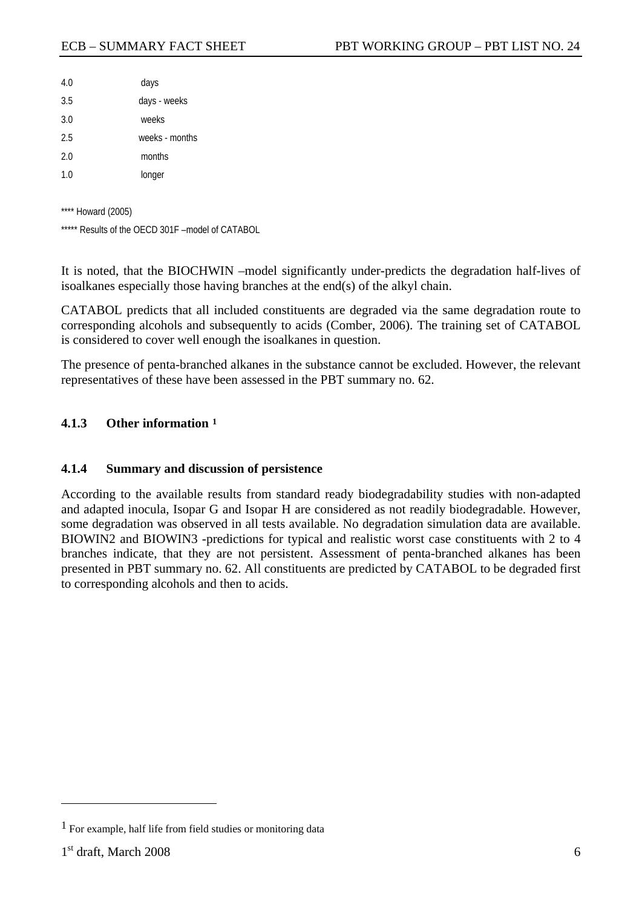<span id="page-5-0"></span>

| 4.0 | days           |
|-----|----------------|
| 3.5 | days - weeks   |
| 3.0 | weeks          |
| 2.5 | weeks - months |
| 2.0 | months         |
| 1.0 | longer         |

\*\*\*\* Howard (2005)

\*\*\*\*\* Results of the OECD 301F –model of CATABOL

It is noted, that the BIOCHWIN –model significantly under-predicts the degradation half-lives of isoalkanes especially those having branches at the end(s) of the alkyl chain.

CATABOL predicts that all included constituents are degraded via the same degradation route to corresponding alcohols and subsequently to acids (Comber, 2006). The training set of CATABOL is considered to cover well enough the isoalkanes in question.

The presence of penta-branched alkanes in the substance cannot be excluded. However, the relevant representatives of these have been assessed in the PBT summary no. 62.

#### **4.1.3 Other information [1](#page-5-0)**

#### **4.1.4 Summary and discussion of persistence**

According to the available results from standard ready biodegradability studies with non-adapted and adapted inocula, Isopar G and Isopar H are considered as not readily biodegradable. However, some degradation was observed in all tests available. No degradation simulation data are available. BIOWIN2 and BIOWIN3 -predictions for typical and realistic worst case constituents with 2 to 4 branches indicate, that they are not persistent. Assessment of penta-branched alkanes has been presented in PBT summary no. 62. All constituents are predicted by CATABOL to be degraded first to corresponding alcohols and then to acids.

 $\overline{a}$ 

<sup>1</sup> For example, half life from field studies or monitoring data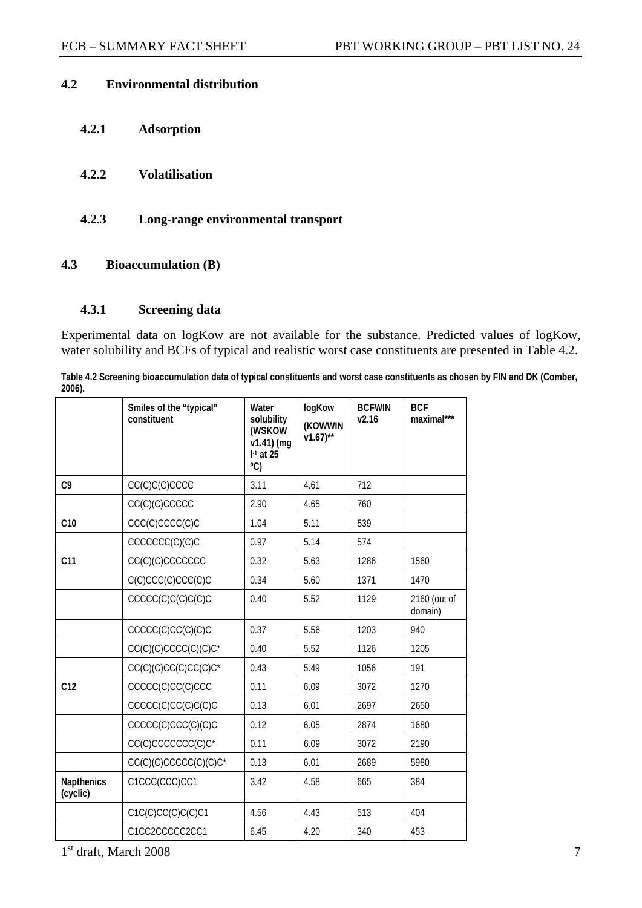## **4.2 Environmental distribution**

- **4.2.1 Adsorption**
- **4.2.2 Volatilisation**
- **4.2.3 Long-range environmental transport**

## **4.3 Bioaccumulation (B)**

### **4.3.1 Screening data**

Experimental data on logKow are not available for the substance. Predicted values of logKow, water solubility and BCFs of typical and realistic worst case constituents are presented in Table 4.2.

**Table 4.2 Screening bioaccumulation data of typical constituents and worst case constituents as chosen by FIN and DK (Comber, 2006).** 

|                               | Smiles of the "typical"<br>constituent | Water<br>solubility<br>(WSKOW<br>$v1.41$ ) (mq<br>$I-1$ at 25<br>$^{\circ}$ C) | logKow<br>(KOWWIN<br>$v1.67$ <sup>**</sup> | <b>BCFWIN</b><br>v2.16 | <b>BCF</b><br>maximal*** |
|-------------------------------|----------------------------------------|--------------------------------------------------------------------------------|--------------------------------------------|------------------------|--------------------------|
| C <sub>9</sub>                | CC(C)C(C)CCCC                          | 3.11                                                                           | 4.61                                       | 712                    |                          |
|                               | CC(C)(C)CCCCC                          | 2.90                                                                           | 4.65                                       | 760                    |                          |
| C10                           | CCC(C)CCCC(C)C                         | 1.04                                                                           | 5.11                                       | 539                    |                          |
|                               | CCCCCC(C)(C)C                          | 0.97                                                                           | 5.14                                       | 574                    |                          |
| C <sub>11</sub>               | CC(C)(C)CCCCCCC                        | 0.32                                                                           | 5.63                                       | 1286                   | 1560                     |
|                               | C(C)CCC(C)CCC(C)C                      | 0.34                                                                           | 5.60                                       | 1371                   | 1470                     |
|                               | CCCC(C)C(C)C(C)C                       | 0.40                                                                           | 5.52                                       | 1129                   | 2160 (out of<br>domain)  |
|                               | CCCCC(C)CC(C)(C)C                      | 0.37                                                                           | 5.56                                       | 1203                   | 940                      |
|                               | $CC(C)(C)CCCC(C)(C)C*$                 | 0.40                                                                           | 5.52                                       | 1126                   | 1205                     |
|                               | $CC(C)(C)CC(C)CC(C)C*$                 | 0.43                                                                           | 5.49                                       | 1056                   | 191                      |
| C12                           | CCCCC(C)CC(C)CCC                       | 0.11                                                                           | 6.09                                       | 3072                   | 1270                     |
|                               | CCCCC(C)CC(C)C(C)C                     | 0.13                                                                           | 6.01                                       | 2697                   | 2650                     |
|                               | CCCCC(C)CCC(C)(C)C                     | 0.12                                                                           | 6.05                                       | 2874                   | 1680                     |
|                               | CC(C)CCCCCCC(C)C*                      | 0.11                                                                           | 6.09                                       | 3072                   | 2190                     |
|                               | CC(C)(C)CCCCC(C)(C)C <sup>*</sup>      | 0.13                                                                           | 6.01                                       | 2689                   | 5980                     |
| <b>Napthenics</b><br>(cyclic) | C1CCC(CCC)CC1                          | 3.42                                                                           | 4.58                                       | 665                    | 384                      |
|                               | C1C(C)CC(C)C(C)C1                      | 4.56                                                                           | 4.43                                       | 513                    | 404                      |
|                               | C1CC2CCCCC2CC1                         | 6.45                                                                           | 4.20                                       | 340                    | 453                      |

 $1<sup>st</sup>$  draft, March 2008  $\overline{7}$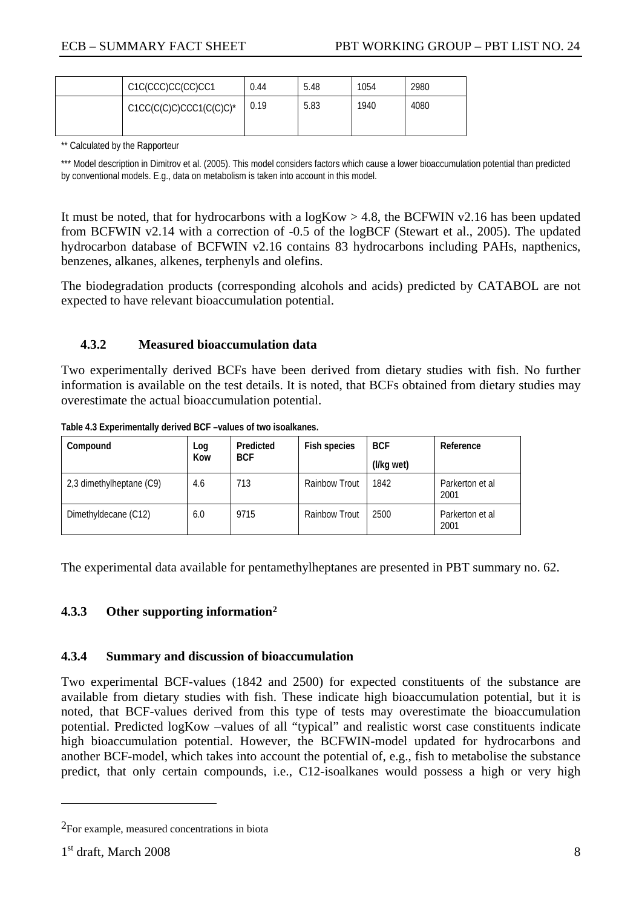<span id="page-7-0"></span>

| C1C(CCC)CC(CC)CC1          | 0.44 | 5.48 | 1054 | 2980 |
|----------------------------|------|------|------|------|
| $C1CC(C(C)C)CCC1(C(C)C)^*$ | 0.19 | 5.83 | 1940 | 4080 |

\*\* Calculated by the Rapporteur

\*\*\* Model description in Dimitrov et al. (2005). This model considers factors which cause a lower bioaccumulation potential than predicted by conventional models. E.g., data on metabolism is taken into account in this model.

It must be noted, that for hydrocarbons with a  $logKow > 4.8$ , the BCFWIN v2.16 has been updated from BCFWIN v2.14 with a correction of -0.5 of the logBCF (Stewart et al., 2005). The updated hydrocarbon database of BCFWIN v2.16 contains 83 hydrocarbons including PAHs, napthenics, benzenes, alkanes, alkenes, terphenyls and olefins.

The biodegradation products (corresponding alcohols and acids) predicted by CATABOL are not expected to have relevant bioaccumulation potential.

#### **4.3.2 Measured bioaccumulation data**

Two experimentally derived BCFs have been derived from dietary studies with fish. No further information is available on the test details. It is noted, that BCFs obtained from dietary studies may overestimate the actual bioaccumulation potential.

| Compound                 | Log | Predicted  | Fish species         | <b>BCF</b> | Reference               |
|--------------------------|-----|------------|----------------------|------------|-------------------------|
|                          | Kow | <b>BCF</b> |                      | (I/kg wet) |                         |
| 2,3 dimethylheptane (C9) | 4.6 | 713        | <b>Rainbow Trout</b> | 1842       | Parkerton et al<br>2001 |
| Dimethyldecane (C12)     | 6.0 | 9715       | <b>Rainbow Trout</b> | 2500       | Parkerton et al<br>2001 |

**Table 4.3 Experimentally derived BCF –values of two isoalkanes.**

The experimental data available for pentamethylheptanes are presented in PBT summary no. 62.

### **4.3.3 Other supporting information[2](#page-7-0)**

### **4.3.4 Summary and discussion of bioaccumulation**

Two experimental BCF-values (1842 and 2500) for expected constituents of the substance are available from dietary studies with fish. These indicate high bioaccumulation potential, but it is noted, that BCF-values derived from this type of tests may overestimate the bioaccumulation potential. Predicted logKow –values of all "typical" and realistic worst case constituents indicate high bioaccumulation potential. However, the BCFWIN-model updated for hydrocarbons and another BCF-model, which takes into account the potential of, e.g., fish to metabolise the substance predict, that only certain compounds, i.e., C12-isoalkanes would possess a high or very high

 $\overline{a}$ 

<sup>2</sup>For example, measured concentrations in biota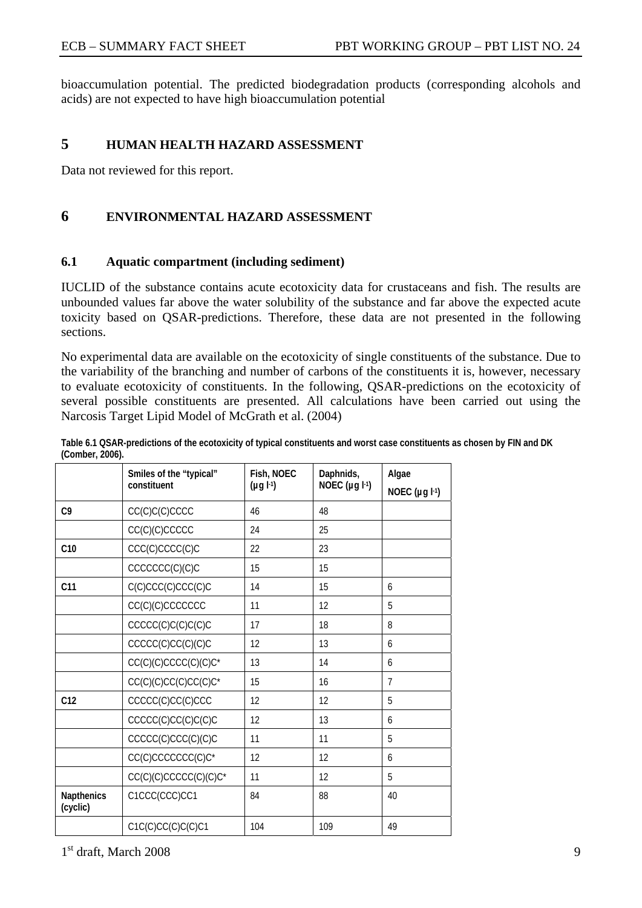bioaccumulation potential. The predicted biodegradation products (corresponding alcohols and acids) are not expected to have high bioaccumulation potential

## **5 HUMAN HEALTH HAZARD ASSESSMENT**

Data not reviewed for this report.

# **6 ENVIRONMENTAL HAZARD ASSESSMENT**

#### **6.1 Aquatic compartment (including sediment)**

IUCLID of the substance contains acute ecotoxicity data for crustaceans and fish. The results are unbounded values far above the water solubility of the substance and far above the expected acute toxicity based on QSAR-predictions. Therefore, these data are not presented in the following sections.

No experimental data are available on the ecotoxicity of single constituents of the substance. Due to the variability of the branching and number of carbons of the constituents it is, however, necessary to evaluate ecotoxicity of constituents. In the following, QSAR-predictions on the ecotoxicity of several possible constituents are presented. All calculations have been carried out using the Narcosis Target Lipid Model of McGrath et al. (2004)

|                               | Smiles of the "typical"           | Fish, NOEC       | Daphnids,           | Algae                 |
|-------------------------------|-----------------------------------|------------------|---------------------|-----------------------|
|                               | constituent                       | $(\mu g I^{-1})$ | NOEC ( $\mu$ g I-1) | NOEC $(\mu g I^{-1})$ |
| C <sub>9</sub>                | CC(C)C(C)CCCC                     | 46               | 48                  |                       |
|                               | CC(C)(C)CCCCC                     | 24               | 25                  |                       |
| C10                           | CCC(C)CCCC(C)C                    | 22               | 23                  |                       |
|                               | CCCCCC(C)(C)C                     | 15               | 15                  |                       |
| C <sub>11</sub>               | C(C)CCC(C)CCC(C)C                 | 14               | 15                  | 6                     |
|                               | CC(C)(C)CCCCCCC                   | 11               | 12                  | 5                     |
|                               | CCCC(C)C(C)C(C)C                  | 17               | 18                  | 8                     |
|                               | CCCCC(C)CC(C)(C)C                 | 12               | 13                  | 6                     |
|                               | CC(C)(C)CCCC(C)(C)C*              | 13               | 14                  | 6                     |
|                               | CC(C)(C)CC(C)CC(C)C <sup>*</sup>  | 15               | 16                  | $\overline{7}$        |
| C12                           | CCCCC(C)CC(C)CCC                  | 12               | 12                  | 5                     |
|                               | CCCCC(C)CC(C)C(C)C                | 12               | 13                  | 6                     |
|                               | CCCCC(C)CCC(C)(C)C                | 11               | 11                  | 5                     |
|                               | CC(C)CCCCCCC(C)C*                 | 12               | 12                  | 6                     |
|                               | CC(C)(C)CCCCC(C)(C)C <sup>*</sup> | 11               | 12                  | 5                     |
| <b>Napthenics</b><br>(cyclic) | C1CCC(CCC)CC1                     | 84               | 88                  | 40                    |
|                               | C1C(C)CC(C)C(C)C1                 | 104              | 109                 | 49                    |

**Table 6.1 QSAR-predictions of the ecotoxicity of typical constituents and worst case constituents as chosen by FIN and DK (Comber, 2006).**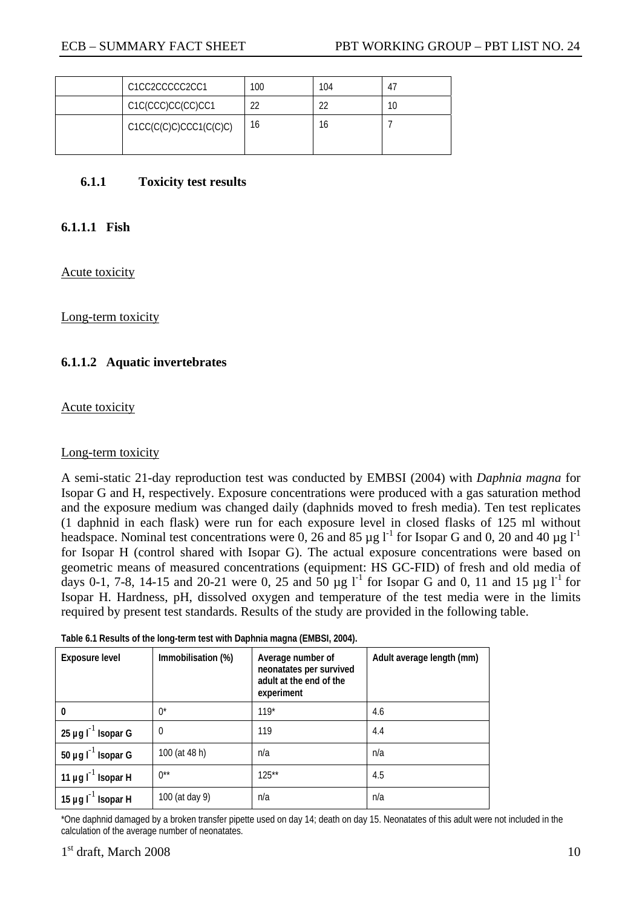| C1CC2CCCCC2CC1         | 100 | 104    | 4 |
|------------------------|-----|--------|---|
| C1C(CCC)CC(CC)CC1      | າາ  | $\sim$ |   |
| C1CC(C(C)C)CCC1(C(C)C) | 16  | 16     |   |

#### **6.1.1 Toxicity test results**

### **6.1.1.1 Fish**

Acute toxicity

Long-term toxicity

### **6.1.1.2 Aquatic invertebrates**

Acute toxicity

#### Long-term toxicity

A semi-static 21-day reproduction test was conducted by EMBSI (2004) with *Daphnia magna* for Isopar G and H, respectively. Exposure concentrations were produced with a gas saturation method and the exposure medium was changed daily (daphnids moved to fresh media). Ten test replicates (1 daphnid in each flask) were run for each exposure level in closed flasks of 125 ml without headspace. Nominal test concentrations were 0, 26 and 85  $\mu$ g l<sup>-1</sup> for Isopar G and 0, 20 and 40  $\mu$ g l<sup>-1</sup> for Isopar H (control shared with Isopar G). The actual exposure concentrations were based on geometric means of measured concentrations (equipment: HS GC-FID) of fresh and old media of days 0-1, 7-8, 14-15 and 20-21 were 0, 25 and  $50 \mu g \, l^1$  for Isopar G and 0, 11 and 15  $\mu g \, l^1$  for Isopar H. Hardness, pH, dissolved oxygen and temperature of the test media were in the limits required by present test standards. Results of the study are provided in the following table.

| Table 6.1 Results of the long-term test with Daphnia magna (EMBSI, 2004). |  |  |
|---------------------------------------------------------------------------|--|--|
|                                                                           |  |  |

| Exposure level          | Immobilisation (%) | Average number of<br>neonatates per survived<br>adult at the end of the<br>experiment | Adult average length (mm) |
|-------------------------|--------------------|---------------------------------------------------------------------------------------|---------------------------|
| $\mathbf{0}$            | $0^*$              | $119*$                                                                                | 4.6                       |
| 25 µg $I^{-1}$ Isopar G | $\Omega$           | 119                                                                                   | 4.4                       |
| 50 µg $I^{-1}$ Isopar G | 100 (at 48 h)      | n/a                                                                                   | n/a                       |
| 11 µg $I^{-1}$ Isopar H | $0^{**}$           | $125**$                                                                               | 4.5                       |
| 15 µg $I^{-1}$ Isopar H | 100 (at day 9)     | n/a                                                                                   | n/a                       |

\*One daphnid damaged by a broken transfer pipette used on day 14; death on day 15. Neonatates of this adult were not included in the calculation of the average number of neonatates.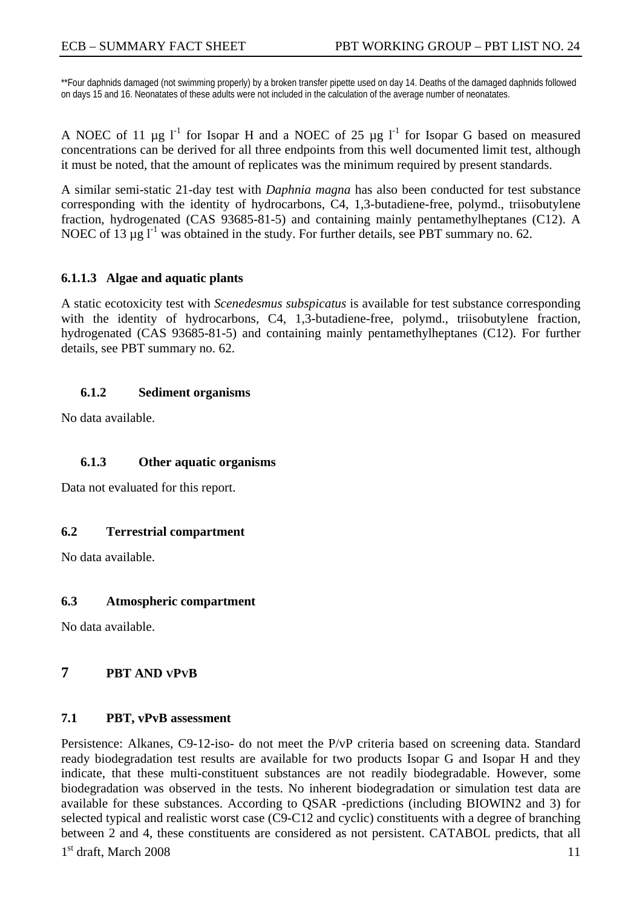\*\*Four daphnids damaged (not swimming properly) by a broken transfer pipette used on day 14. Deaths of the damaged daphnids followed on days 15 and 16. Neonatates of these adults were not included in the calculation of the average number of neonatates.

A NOEC of 11  $\mu$ g l<sup>-1</sup> for Isopar H and a NOEC of 25  $\mu$ g l<sup>-1</sup> for Isopar G based on measured concentrations can be derived for all three endpoints from this well documented limit test, although it must be noted, that the amount of replicates was the minimum required by present standards.

A similar semi-static 21-day test with *Daphnia magna* has also been conducted for test substance corresponding with the identity of hydrocarbons, C4, 1,3-butadiene-free, polymd., triisobutylene fraction, hydrogenated (CAS 93685-81-5) and containing mainly pentamethylheptanes (C12). A NOEC of 13  $\mu$ g l<sup>-1</sup> was obtained in the study. For further details, see PBT summary no. 62.

#### **6.1.1.3 Algae and aquatic plants**

A static ecotoxicity test with *Scenedesmus subspicatus* is available for test substance corresponding with the identity of hydrocarbons, C4, 1,3-butadiene-free, polymd., triisobutylene fraction, hydrogenated (CAS 93685-81-5) and containing mainly pentamethylheptanes (C12). For further details, see PBT summary no. 62.

#### **6.1.2 Sediment organisms**

No data available.

### **6.1.3 Other aquatic organisms**

Data not evaluated for this report.

### **6.2 Terrestrial compartment**

No data available.

#### **6.3 Atmospheric compartment**

No data available.

### **7 PBT AND VPVB**

#### **7.1 PBT, vPvB assessment**

 $1<sup>st</sup>$  draft, March 2008 11 Persistence: Alkanes, C9-12-iso- do not meet the P/vP criteria based on screening data. Standard ready biodegradation test results are available for two products Isopar G and Isopar H and they indicate, that these multi-constituent substances are not readily biodegradable. However, some biodegradation was observed in the tests. No inherent biodegradation or simulation test data are available for these substances. According to QSAR -predictions (including BIOWIN2 and 3) for selected typical and realistic worst case (C9-C12 and cyclic) constituents with a degree of branching between 2 and 4, these constituents are considered as not persistent. CATABOL predicts, that all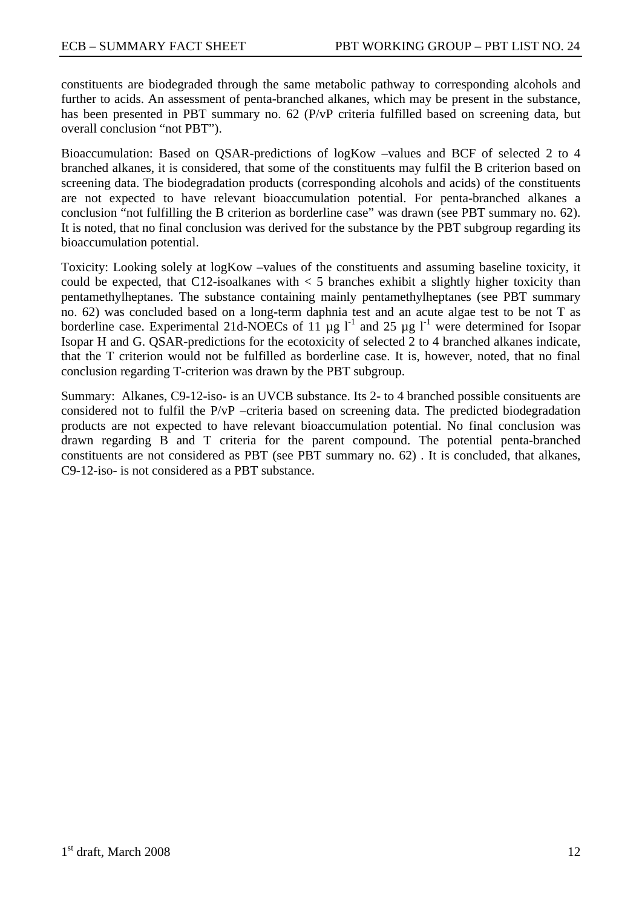constituents are biodegraded through the same metabolic pathway to corresponding alcohols and further to acids. An assessment of penta-branched alkanes, which may be present in the substance, has been presented in PBT summary no. 62 (P/vP criteria fulfilled based on screening data, but overall conclusion "not PBT").

Bioaccumulation: Based on QSAR-predictions of logKow –values and BCF of selected 2 to 4 branched alkanes, it is considered, that some of the constituents may fulfil the B criterion based on screening data. The biodegradation products (corresponding alcohols and acids) of the constituents are not expected to have relevant bioaccumulation potential. For penta-branched alkanes a conclusion "not fulfilling the B criterion as borderline case" was drawn (see PBT summary no. 62). It is noted, that no final conclusion was derived for the substance by the PBT subgroup regarding its bioaccumulation potential.

Toxicity: Looking solely at logKow –values of the constituents and assuming baseline toxicity, it could be expected, that C12-isoalkanes with  $\lt 5$  branches exhibit a slightly higher toxicity than pentamethylheptanes. The substance containing mainly pentamethylheptanes (see PBT summary no. 62) was concluded based on a long-term daphnia test and an acute algae test to be not T as borderline case. Experimental 21d-NOECs of 11  $\mu$ g l<sup>-1</sup> and 25  $\mu$ g l<sup>-1</sup> were determined for Isopar Isopar H and G. QSAR-predictions for the ecotoxicity of selected 2 to 4 branched alkanes indicate, that the T criterion would not be fulfilled as borderline case. It is, however, noted, that no final conclusion regarding T-criterion was drawn by the PBT subgroup.

Summary: Alkanes, C9-12-iso- is an UVCB substance. Its 2- to 4 branched possible consituents are considered not to fulfil the P/vP –criteria based on screening data. The predicted biodegradation products are not expected to have relevant bioaccumulation potential. No final conclusion was drawn regarding B and T criteria for the parent compound. The potential penta-branched constituents are not considered as PBT (see PBT summary no. 62) . It is concluded, that alkanes, C9-12-iso- is not considered as a PBT substance.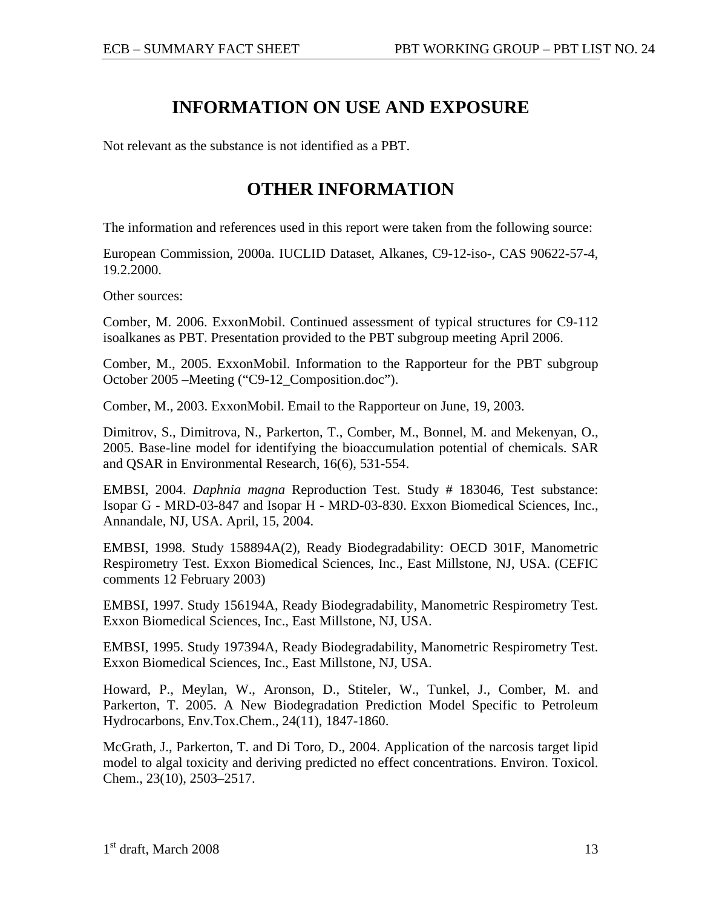# **INFORMATION ON USE AND EXPOSURE**

Not relevant as the substance is not identified as a PBT.

# **OTHER INFORMATION**

The information and references used in this report were taken from the following source:

European Commission, 2000a. IUCLID Dataset, Alkanes, C9-12-iso-, CAS 90622-57-4, 19.2.2000.

Other sources:

Comber, M. 2006. ExxonMobil. Continued assessment of typical structures for C9-112 isoalkanes as PBT. Presentation provided to the PBT subgroup meeting April 2006.

Comber, M., 2005. ExxonMobil. Information to the Rapporteur for the PBT subgroup October 2005 –Meeting ("C9-12\_Composition.doc").

Comber, M., 2003. ExxonMobil. Email to the Rapporteur on June, 19, 2003.

Dimitrov, S., Dimitrova, N., Parkerton, T., Comber, M., Bonnel, M. and Mekenyan, O., 2005. Base-line model for identifying the bioaccumulation potential of chemicals. SAR and QSAR in Environmental Research, 16(6), 531-554.

EMBSI, 2004. *Daphnia magna* Reproduction Test. Study # 183046, Test substance: Isopar G - MRD-03-847 and Isopar H - MRD-03-830. Exxon Biomedical Sciences, Inc., Annandale, NJ, USA. April, 15, 2004.

EMBSI, 1998. Study 158894A(2), Ready Biodegradability: OECD 301F, Manometric Respirometry Test. Exxon Biomedical Sciences, Inc., East Millstone, NJ, USA. (CEFIC comments 12 February 2003)

EMBSI, 1997. Study 156194A, Ready Biodegradability, Manometric Respirometry Test. Exxon Biomedical Sciences, Inc., East Millstone, NJ, USA.

EMBSI, 1995. Study 197394A, Ready Biodegradability, Manometric Respirometry Test. Exxon Biomedical Sciences, Inc., East Millstone, NJ, USA.

Howard, P., Meylan, W., Aronson, D., Stiteler, W., Tunkel, J., Comber, M. and Parkerton, T. 2005. A New Biodegradation Prediction Model Specific to Petroleum Hydrocarbons, Env.Tox.Chem., 24(11), 1847-1860.

McGrath, J., Parkerton, T. and Di Toro, D., 2004. Application of the narcosis target lipid model to algal toxicity and deriving predicted no effect concentrations. Environ. Toxicol. Chem., 23(10), 2503–2517.